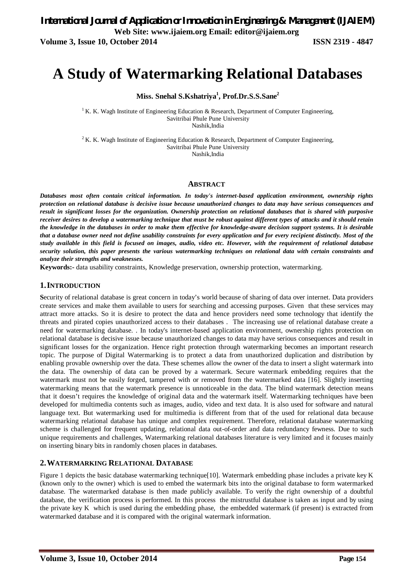# **A Study of Watermarking Relational Databases**

**Miss. Snehal S.Kshatriya<sup>1</sup> , Prof.Dr.S.S.Sane<sup>2</sup>**

<sup>1</sup> K. K. Wagh Institute of Engineering Education & Research, Department of Computer Engineering, Savitribai Phule Pune University Nashik,India

<sup>2</sup> K. K. Wagh Institute of Engineering Education & Research, Department of Computer Engineering, Savitribai Phule Pune University Nashik,India

#### **ABSTRACT**

*Databases most often contain critical information. In today's internet-based application environment, ownership rights protection on relational database is decisive issue because unauthorized changes to data may have serious consequences and result in significant losses for the organization. Ownership protection on relational databases that is shared with purposive receiver desires to develop a watermarking technique that must be robust against different types of attacks and it should retain the knowledge in the databases in order to make them effective for knowledge-aware decision support systems. It is desirable that a database owner need not define usability constraints for every application and for every recipient distinctly. Most of the study available in this field is focused on images, audio, video etc. However, with the requirement of relational database security solution, this paper presents the various watermarking techniques on relational data with certain constraints and analyze their strengths and weaknesses.*

**Keywords:-** data usability constraints, Knowledge preservation, ownership protection, watermarking.

#### **1.INTRODUCTION**

**S**ecurity of relational database is great concern in today's world because of sharing of data over internet. Data providers create services and make them available to users for searching and accessing purposes. Given that these services may attract more attacks. So it is desire to protect the data and hence providers need some technology that identify the threats and pirated copies unauthorized access to their databases . The increasing use of relational database create a need for watermarking database. . In today's internet-based application environment, ownership rights protection on relational database is decisive issue because unauthorized changes to data may have serious consequences and result in significant losses for the organization. Hence right protection through watermarking becomes an important research topic. The purpose of Digital Watermarking is to protect a data from unauthorized duplication and distribution by enabling provable ownership over the data. These schemes allow the owner of the data to insert a slight watermark into the data. The ownership of data can be proved by a watermark. Secure watermark embedding requires that the watermark must not be easily forged, tampered with or removed from the watermarked data [16]. Slightly inserting watermarking means that the watermark presence is unnoticeable in the data. The blind watermark detection means that it doesn't requires the knowledge of original data and the watermark itself. Watermarking techniques have been developed for multimedia contents such as images, audio, video and text data. It is also used for software and natural language text. But watermarking used for multimedia is different from that of the used for relational data because watermarking relational database has unique and complex requirement. Therefore, relational database watermarking scheme is challenged for frequent updating, relational data out-of-order and data redundancy fewness. Due to such unique requirements and challenges, Watermarking relational databases literature is very limited and it focuses mainly on inserting binary bits in randomly chosen places in databases.

#### **2.WATERMARKING RELATIONAL DATABASE**

Figure 1 depicts the basic database watermarking technique[10]. Watermark embedding phase includes a private key K (known only to the owner) which is used to embed the watermark bits into the original database to form watermarked database. The watermarked database is then made publicly available. To verify the right ownership of a doubtful database, the verification process is performed. In this process the mistrustful database is taken as input and by using the private key K which is used during the embedding phase, the embedded watermark (if present) is extracted from watermarked database and it is compared with the original watermark information.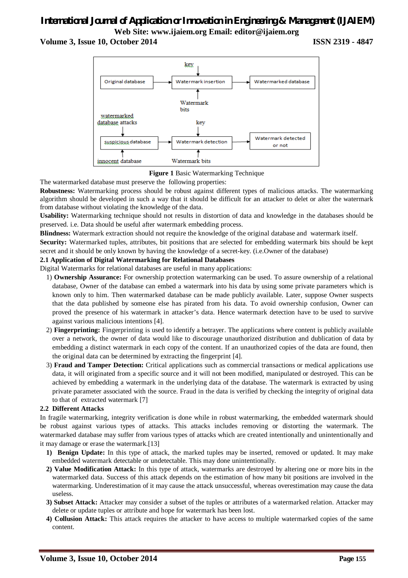# *International Journal of Application or Innovation in Engineering & Management (IJAIEM)* **Web Site: www.ijaiem.org Email: editor@ijaiem.org**

**Volume 3, Issue 10, October 2014 ISSN 2319 - 4847**



**Figure 1** Basic Watermarking Technique

The watermarked database must preserve the following properties:

**Robustness:** Watermarking process should be robust against different types of malicious attacks. The watermarking algorithm should be developed in such a way that it should be difficult for an attacker to delet or alter the watermark from database without violating the knowledge of the data.

**Usability:** Watermarking technique should not results in distortion of data and knowledge in the databases should be preserved. i.e. Data should be useful after watermark embedding process.

**Blindness:** Watermark extraction should not require the knowledge of the original database and watermark itself.

**Security:** Watermarked tuples, attributes, bit positions that are selected for embedding watermark bits should be kept secret and it should be only known by having the knowledge of a secret-key. (i.e.Owner of the database)

#### **2.1 Application of Digital Watermarking for Relational Databases**

Digital Watermarks for relational databases are useful in many applications:

- 1) **Ownership Assurance:** For ownership protection watermarking can be used. To assure ownership of a relational database, Owner of the database can embed a watermark into his data by using some private parameters which is known only to him. Then watermarked database can be made publicly available. Later, suppose Owner suspects that the data published by someone else has pirated from his data. To avoid ownership confusion, Owner can proved the presence of his watermark in attacker's data. Hence watermark detection have to be used to survive against various malicious intentions [4].
- 2) **Fingerprinting:** Fingerprinting is used to identify a betrayer. The applications where content is publicly available over a network, the owner of data would like to discourage unauthorized distribution and dublication of data by embedding a distinct watermark in each copy of the content. If an unauthorized copies of the data are found, then the original data can be determined by extracting the fingerprint [4].
- 3) **Fraud and Tamper Detection:** Critical applications such as commercial transactions or medical applications use data, it will originated from a specific source and it will not been modified, manipulated or destroyed. This can be achieved by embedding a watermark in the underlying data of the database. The watermark is extracted by using private parameter associated with the source. Fraud in the data is verified by checking the integrity of original data to that of extracted watermark [7]

#### **2.2 Different Attacks**

In fragile watermarking, integrity verification is done while in robust watermarking, the embedded watermark should be robust against various types of attacks. This attacks includes removing or distorting the watermark. The watermarked database may suffer from various types of attacks which are created intentionally and unintentionally and it may damage or erase the watermark.[13]

- **1) Benign Update:** In this type of attack, the marked tuples may be inserted, removed or updated. It may make embedded watermark detectable or undetectable. This may done unintentionally.
- **2) Value Modification Attack:** In this type of attack, watermarks are destroyed by altering one or more bits in the watermarked data. Success of this attack depends on the estimation of how many bit positions are involved in the watermarking. Underestimation of it may cause the attack unsuccessful, whereas overestimation may cause the data useless.
- **3) Subset Attack:** Attacker may consider a subset of the tuples or attributes of a watermarked relation. Attacker may delete or update tuples or attribute and hope for watermark has been lost.
- **4) Collusion Attack:** This attack requires the attacker to have access to multiple watermarked copies of the same content.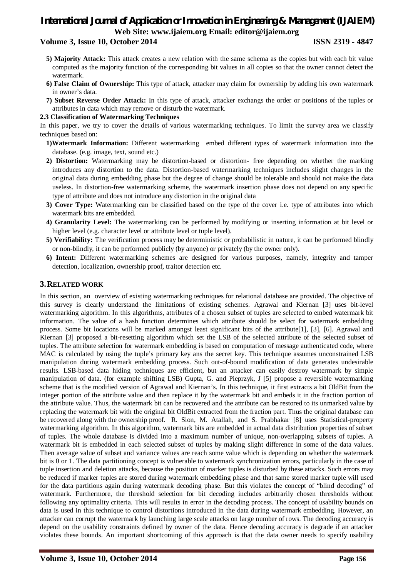# *International Journal of Application or Innovation in Engineering & Management (IJAIEM)* **Web Site: www.ijaiem.org Email: editor@ijaiem.org**

### **Volume 3, Issue 10, October 2014 ISSN 2319 - 4847**

- **5) Majority Attack:** This attack creates a new relation with the same schema as the copies but with each bit value computed as the majority function of the corresponding bit values in all copies so that the owner cannot detect the watermark.
- **6) False Claim of Ownership:** This type of attack, attacker may claim for ownership by adding his own watermark in owner's data.
- **7) Subset Reverse Order Attack:** In this type of attack, attacker exchangs the order or positions of the tuples or attributes in data which may remove or disturb the watermark.

#### **2.3 Classification of Watermarking Techniques**

In this paper, we try to cover the details of various watermarking techniques. To limit the survey area we classify techniques based on:

- **1)Watermark Information:** Different watermarking embed different types of watermark information into the database. (e.g. image, text, sound etc.)
- **2) Distortion:** Watermarking may be distortion-based or distortion- free depending on whether the marking introduces any distortion to the data. Distortion-based watermarking techniques includes slight changes in the original data during embedding phase but the degree of change should be tolerable and should not make the data useless. In distortion-free watermarking scheme, the watermark insertion phase does not depend on any specific type of attribute and does not introduce any distortion in the original data
- **3) Cover Type:** Watermarking can be classified based on the type of the cover i.e. type of attributes into which watermark bits are embedded.
- **4) Granularity Level:** The watermarking can be performed by modifying or inserting information at bit level or higher level (e.g. character level or attribute level or tuple level).
- **5) Verifiability:** The verification process may be deterministic or probabilistic in nature, it can be performed blindly or non-blindly, it can be performed publicly (by anyone) or privately (by the owner only).
- **6) Intent:** Different watermarking schemes are designed for various purposes, namely, integrity and tamper detection, localization, ownership proof, traitor detection etc.

#### **3.RELATED WORK**

In this section, an overview of existing watermarking techniques for relational database are provided. The objective of this survey is clearly understand the limitations of existing schemes. Agrawal and Kiernan [3] uses bit-level watermarking algorithm. In this algorithms, attributes of a chosen subset of tuples are selected to embed watermark bit information. The value of a hash function determines which attribute should be select for watermark embedding process. Some bit locations will be marked amongst least significant bits of the attribute[1], [3], [6]. Agrawal and Kiernan [3] proposed a bit-resetting algorithm which set the LSB of the selected attribute of the selected subset of tuples. The attribute selection for watermark embedding is based on computation of message authenticated code, where MAC is calculated by using the tuple's primary key ans the secret key. This technique assumes unconstrained LSB manipulation during watermark embedding process. Such out-of-bound modification of data generates undesirable results. LSB-based data hiding techniques are efficient, but an attacker can easily destroy watermark by simple manipulation of data. (for example shifting LSB) Gupta, G. and Pieprzyk, J [5] propose a reversible watermarking scheme that is the modified version of Agrawal and Kiernan's. In this technique, it first extracts a bit OldBit from the integer portion of the attribute value and then replace it by the watermark bit and embeds it in the fraction portion of the attribute value. Thus, the watermark bit can be recovered and the attribute can be restored to its unmarked value by replacing the watermark bit with the original bit OldBit extracted from the fraction part. Thus the original database can be recovered along with the ownership proof. R. Sion, M. Atallah, and S. Prabhakar [8] uses Statistical-property watermarking algorithm. In this algorithm, watermark bits are embedded in actual data distribution properties of subset of tuples. The whole database is divided into a maximum number of unique, non-overlapping subsets of tuples. A watermark bit is embedded in each selected subset of tuples by making slight difference in some of the data values. Then average value of subset and variance values are reach some value which is depending on whether the watermark bit is 0 or 1. The data partitioning concept is vulnerable to watermark synchronization errors, particularly in the case of tuple insertion and deletion attacks, because the position of marker tuples is disturbed by these attacks. Such errors may be reduced if marker tuples are stored during watermark embedding phase and that same stored marker tuple will used for the data partitions again during watermark decoding phase. But this violates the concept of "blind decoding" of watermark. Furthermore, the threshold selection for bit decoding includes arbitrarily chosen thresholds without following any optimality criteria. This will results in error in the decoding process. The concept of usability bounds on data is used in this technique to control distortions introduced in the data during watermark embedding. However, an attacker can corrupt the watermark by launching large scale attacks on large number of rows. The decoding accuracy is depend on the usability constraints defined by owner of the data. Hence decoding accuracy is degrade if an attacker violates these bounds. An important shortcoming of this approach is that the data owner needs to specify usability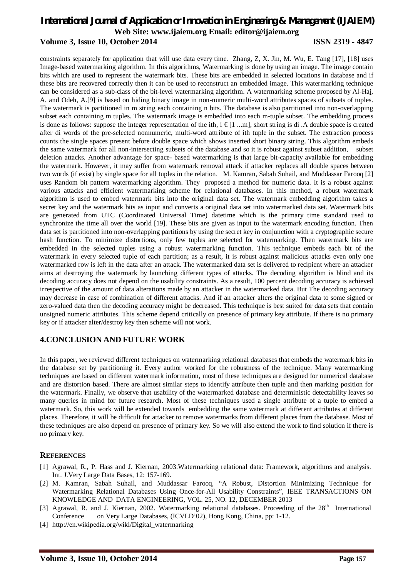# *International Journal of Application or Innovation in Engineering & Management (IJAIEM)* **Web Site: www.ijaiem.org Email: editor@ijaiem.org Volume 3, Issue 10, October 2014 ISSN 2319 - 4847**

constraints separately for application that will use data every time. Zhang, Z, X. Jin, M. Wu, E. Tang [17], [18] uses Image-based watermarking algorithm. In this algorithms, Watermarking is done by using an image. The image contain bits which are used to represent the watermark bits. These bits are embedded in selected locations in database and if these bits are recovered correctly then it can be used to reconstruct an embedded image. This watermarking technique can be considered as a sub-class of the bit-level watermarking algorithm. A watermarking scheme proposed by Al-Haj, A. and Odeh, A.[9] is based on hiding binary image in non-numeric multi-word attributes spaces of subsets of tuples. The watermark is partitioned in m string each containing n bits. The database is also partitioned into non-overlapping subset each containing m tuples. The watermark image is embedded into each m-tuple subset. The embedding process is done as follows: suppose the integer representation of the ith, i  $\in [1 \dots m]$ , short string is di. A double space is created after di words of the pre-selected nonnumeric, multi-word attribute of ith tuple in the subset. The extraction process counts the single spaces present before double space which shows inserted short binary string. This algorithm embeds the same watermark for all non-intersecting subsets of the database and so it is robust against subset addition, subset deletion attacks. Another advantage for space- based watermarking is that large bit-capacity available for embedding the watermark. However, it may suffer from watermark removal attack if attacker replaces all double spaces between two words (if exist) by single space for all tuples in the relation. M. Kamran, Sabah Suhail, and Muddassar Farooq [2] uses Random bit pattern watermarking algorithm. They proposed a method for numeric data. It is a robust against various attacks and efficient watermarking scheme for relational databases. In this method, a robust watermark algorithm is used to embed watermark bits into the original data set. The watermark embedding algorithm takes a secret key and the watermark bits as input and converts a original data set into watermarked data set. Watermark bits are generated from UTC (Coordinated Universal Time) datetime which is the primary time standard used to synchronize the time all over the world [19]. These bits are given as input to the watermark encoding function. Then data set is partitioned into non-overlapping partitions by using the secret key in conjunction with a cryptographic secure hash function. To minimize distortions, only few tuples are selected for watermarking. Then watermark bits are embedded in the selected tuples using a robust watermarking function. This technique embeds each bit of the watermark in every selected tuple of each partition; as a result, it is robust against malicious attacks even only one watermarked row is left in the data after an attack. The watermarked data set is delivered to recipient where an attacker aims at destroying the watermark by launching different types of attacks. The decoding algorithm is blind and its decoding accuracy does not depend on the usability constraints. As a result, 100 percent decoding accuracy is achieved irrespective of the amount of data alterations made by an attacker in the watermarked data. But The decoding accuracy may decrease in case of combination of different attacks. And if an attacker alters the original data to some signed or zero-valued data then the decoding accuracy might be decreased. This technique is best suited for data sets that contain unsigned numeric attributes. This scheme depend critically on presence of primary key attribute. If there is no primary key or if attacker alter/destroy key then scheme will not work.

# **4.CONCLUSION AND FUTURE WORK**

In this paper, we reviewed different techniques on watermarking relational databases that embeds the watermark bits in the database set by partitioning it. Every author worked for the robustness of the technique. Many watermarking techniques are based on different watermark information, most of these techniques are designed for numerical database and are distortion based. There are almost similar steps to identify attribute then tuple and then marking position for the watermark. Finally, we observe that usability of the watermarked database and deterministic detectability leaves so many queries in mind for future research. Most of these techniques used a single attribute of a tuple to embed a watermark. So, this work will be extended towards embedding the same watermark at different attributes at different places. Therefore, it will be difficult for attacker to remove watermarks from different places from the database. Most of these techniques are also depend on presence of primary key. So we will also extend the work to find solution if there is no primary key.

#### **REFERENCES**

- [1] Agrawal, R., P. Hass and J. Kiernan, 2003.Watermarking relational data: Framework, algorithms and analysis. Int. J.Very Large Data Bases, 12: 157-169.
- [2] M. Kamran, Sabah Suhail, and Muddassar Farooq, "A Robust, Distortion Minimizing Technique for Watermarking Relational Databases Using Once-for-All Usability Constraints", IEEE TRANSACTIONS ON KNOWLEDGE AND DATA ENGINEERING, VOL. 25, NO. 12, DECEMBER 2013
- [3] Agrawal, R. and J. Kiernan, 2002. Watermarking relational databases. Proceeding of the 28<sup>th</sup> International Conference on Very Large Databases, (ICVLD'02), Hong Kong, China, pp: 1-12.
- [4] http://en.wikipedia.org/wiki/Digital\_watermarking